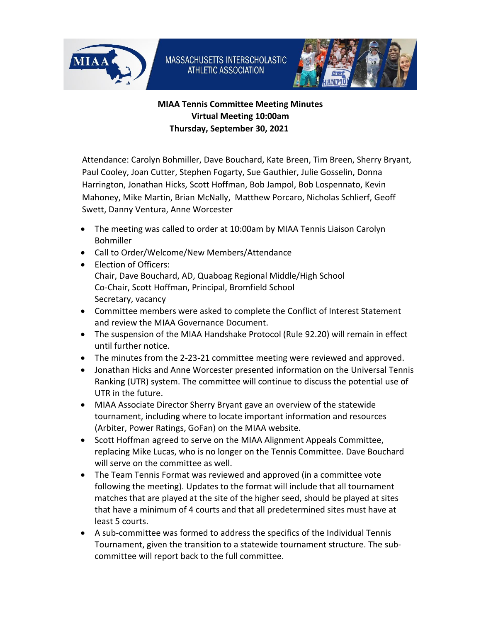



## **MIAA Tennis Committee Meeting Minutes Virtual Meeting 10:00am Thursday, September 30, 2021**

Attendance: Carolyn Bohmiller, Dave Bouchard, Kate Breen, Tim Breen, Sherry Bryant, Paul Cooley, Joan Cutter, Stephen Fogarty, Sue Gauthier, Julie Gosselin, Donna Harrington, Jonathan Hicks, Scott Hoffman, Bob Jampol, Bob Lospennato, Kevin Mahoney, Mike Martin, Brian McNally, Matthew Porcaro, Nicholas Schlierf, Geoff Swett, Danny Ventura, Anne Worcester

- The meeting was called to order at 10:00am by MIAA Tennis Liaison Carolyn Bohmiller
- Call to Order/Welcome/New Members/Attendance
- Election of Officers: Chair, Dave Bouchard, AD, Quaboag Regional Middle/High School Co-Chair, Scott Hoffman, Principal, Bromfield School Secretary, vacancy
- Committee members were asked to complete the Conflict of Interest Statement and review the MIAA Governance Document.
- The suspension of the MIAA Handshake Protocol (Rule 92.20) will remain in effect until further notice.
- The minutes from the 2-23-21 committee meeting were reviewed and approved.
- Jonathan Hicks and Anne Worcester presented information on the Universal Tennis Ranking (UTR) system. The committee will continue to discuss the potential use of UTR in the future.
- MIAA Associate Director Sherry Bryant gave an overview of the statewide tournament, including where to locate important information and resources (Arbiter, Power Ratings, GoFan) on the MIAA website.
- Scott Hoffman agreed to serve on the MIAA Alignment Appeals Committee, replacing Mike Lucas, who is no longer on the Tennis Committee. Dave Bouchard will serve on the committee as well.
- The Team Tennis Format was reviewed and approved (in a committee vote following the meeting). Updates to the format will include that all tournament matches that are played at the site of the higher seed, should be played at sites that have a minimum of 4 courts and that all predetermined sites must have at least 5 courts.
- A sub-committee was formed to address the specifics of the Individual Tennis Tournament, given the transition to a statewide tournament structure. The subcommittee will report back to the full committee.